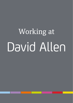# Working atDavid Allen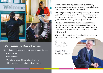

## Welcome to David Allen

Our little book of values will help you to understand…

- Who we are
- What we do
- What makes us different to other firms
- How we treat each other and our clients

Great vision without great people is irrelevant, and our people really are the best. The best at what they do and the best at how they do it.

And the great thing is, they keep striving to be even better! Our people, their skills and ambitions are as important to us as are our clients. We can't deliver a great service without great people after all…

We offer a service that not many businesses do, we provide seven integrated services under one roof. Our aim is to be the best provider of each of our services in Cumbria, South West Scotland and further afield.

With the right people, a clear direction and happy clients we can achieve our aim.

Winigh allen

David Allen Founding Partner

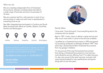Who we are

We are a leading independent firm of Chartered Accountants, Advisers and Specialists that deliver a wide range of business services to businesses of all sizes.

We are a partner led firm, with partners in each of our service areas to make sure each area is represented in everything that we do.

We offer integrated services based in Cumbria and South West Scotland with offices at Carlisle, Dalston, Dumfries, Penrith and Workington.



like to know more about who we are, our aim and

david@david-allen.co.uk • 07769 645 577

David Allen Founding Partner



I love work, I love the brand, I love everything about the company and our people.

Back in 1997, I had a vision to deliver a great service and offer much more when it came to the services available.

I qualified as a Chartered Accountant in 1995 and gained my practising certificate on Monday 24 March 1997. That same day I started David Allen Chartered Accountants from my garage in Dalston.

I'm very proud of the way the business has evolved from being a Chartered Accountants to now having a multi-discipline service offering, from IT to debt recovery. I'm also very proud of the team we have nurtured, with many having studied for new qualifications and grown along with us over the years.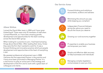

### Alison Welton

I joined the David Allen team in 2004 and I have never looked back! There were only 25 members of staff when I joined #TeamDA, so I have seen amazing growth, development and opportunities for the team working across the David Allen group.

When looking for a practice to join, I had heard amazing things about David Allen. After reading their story, I knew they were the firm that I wanted to work for. It was a forward thinking and innovative practice which put people development and opportunities at the heart of everything it did.

My greatest professional achievement was in 2008, I became the first appointed Partner in the practice and I have since been promoted to Managing Partner. It is a real honour to play an active part in the strategy and development of the firm and to work with a great team of colleagues and clients.

### Our Service Areas

Forward thinking and ambitious accountants, auditors and advisers



Minimising the amount you pay while keeping you compliant



Independent Financial Advisers giving the advice you need to secure the future you deserve



Growing our rural economy together



IT expertise to enable your business and empower your team



Simple and effective debt recovery to help businesses and individuals



Managing complex legislation and processes to save you time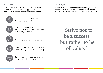### Our Values

As a people focused business we are enthusiastic and supportive, open, honest and appreciate and treat everyone with fairness, consideration and respect.



Thrive on our clients Ambition for their future, and ours too



Provide the highest level of Professionalism with every interaction and delivery of service



Continually develop and grow our Knowledge and share it with others



Have Integrity across all interactions with clients, colleagues and our community



Respect and support others, and the knowledge and opinions they bring

### Our Purpose

The growth and development of our thriving business, operating with integrity for the benefit of our people and clients. To create an environment where hard work and energy prosper and creates wealth and worth for all.

> "Strive not to be a success, but rather to be of value."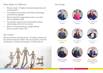### What Makes Us Different Current Current Current Current Current Current Current Current Current Current Current Current Current Current Current Current Current Current Current Current Current Current Current Current Curren

- We are a team of highly motivated, passionate and caring people
- Our people have access to the latest technology and technical updates
- We provide fully integrated services in one firm that is available locally
- Our people create strong and friendly working relationships with all of our clients
- We are a forward thinking, straight talking, down to earth modern firm

### Our Culture

We are achievers working hard in a friendly, professional way where everyone matters. We are practical, proactive and dynamic, working with passion in all that we do.









Partner **David Allen** 

Partner **Alison Welton** 

Partner **Lucy Metcalf** 



Partner



Partner **Sue Jeffrey** 



Partner **Julie Osborn** 



IT Director **David Arnold** 



IT Director **Gary Martin** 



Managing Director and IFA **Steve Balmer**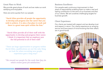### Great Place to Work

We provide great places of work and we make our work satisfying and enjoyable.

Here are some quotes from our people:

"David Allen provides all people the opportunity to develop and progress into the career that you wish to achieve. It is also a fun place to work and there is a great team spirit within the firm."

"David Allen provide all of their staff with the opportunity to develop and progress their career. I think it is important that an employer sees the full potential in all of their staff."

"There are huge opportunities to progress within David Allen, qualifications are not the only thing we look for when recruiting new people, experience goes a long way!"

"We reward our people for the work that they do which creates great job satisfaction."

### Business Excellence

Our people seek continuous improvement in their areas of responsibility enabling them to make a real and lasting contribution to the aims of our business and that of our clients. We set ourselves challenging targets for business growth.

### Client Experience

Our clients are treated with respect and we develop trust and respect in return. Our clients experience an amazing service and have peace of mind knowing that their affairs are in good hands.

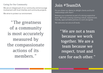### Caring for Our Community

We are an integral part of our community and encourage involvement with local charities and community projects.

We strive to protect our environment.

"The greatness of a community is most accurately measured by the compassionate actions of its members."

# Join #TeamDA

Do you share our desire to delight clients and build relationships with them?

Release your potential as part of a strong supportive team. We have a strong coaching culture, experienced, friendly, approachable partners to work alongside.

We welcome recruits at all levels.

"We are not a team because we work together. We are a team because we respect, trust and care for each other."